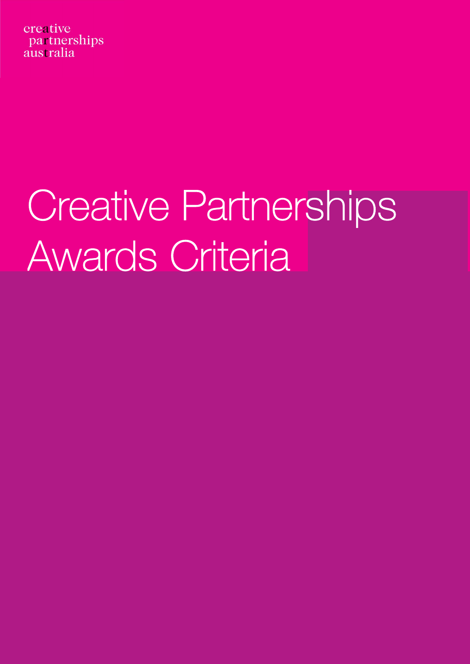creative partnerships australia

# Creative Partnerships Awards Criteria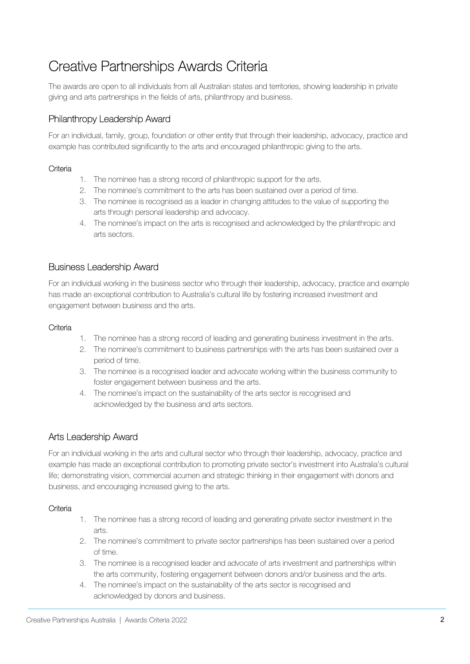# Creative Partnerships Awards Criteria

The awards are open to all individuals from all Australian states and territories, showing leadership in private giving and arts partnerships in the fields of arts, philanthropy and business.

# Philanthropy Leadership Award

For an individual, family, group, foundation or other entity that through their leadership, advocacy, practice and example has contributed significantly to the arts and encouraged philanthropic giving to the arts.

#### **Criteria**

- 1. The nominee has a strong record of philanthropic support for the arts.
- 2. The nominee's commitment to the arts has been sustained over a period of time.
- 3. The nominee is recognised as a leader in changing attitudes to the value of supporting the arts through personal leadership and advocacy.
- 4. The nominee's impact on the arts is recognised and acknowledged by the philanthropic and arts sectors.

### Business Leadership Award

For an individual working in the business sector who through their leadership, advocacy, practice and example has made an exceptional contribution to Australia's cultural life by fostering increased investment and engagement between business and the arts.

#### **Criteria**

- 1. The nominee has a strong record of leading and generating business investment in the arts.
- 2. The nominee's commitment to business partnerships with the arts has been sustained over a period of time.
- 3. The nominee is a recognised leader and advocate working within the business community to foster engagement between business and the arts.
- 4. The nominee's impact on the sustainability of the arts sector is recognised and acknowledged by the business and arts sectors.

## Arts Leadership Award

For an individual working in the arts and cultural sector who through their leadership, advocacy, practice and example has made an exceptional contribution to promoting private sector's investment into Australia's cultural life; demonstrating vision, commercial acumen and strategic thinking in their engagement with donors and business, and encouraging increased giving to the arts.

#### **Criteria**

- 1. The nominee has a strong record of leading and generating private sector investment in the arts.
- 2. The nominee's commitment to private sector partnerships has been sustained over a period of time.
- 3. The nominee is a recognised leader and advocate of arts investment and partnerships within the arts community, fostering engagement between donors and/or business and the arts.
- 4. The nominee's impact on the sustainability of the arts sector is recognised and acknowledged by donors and business.